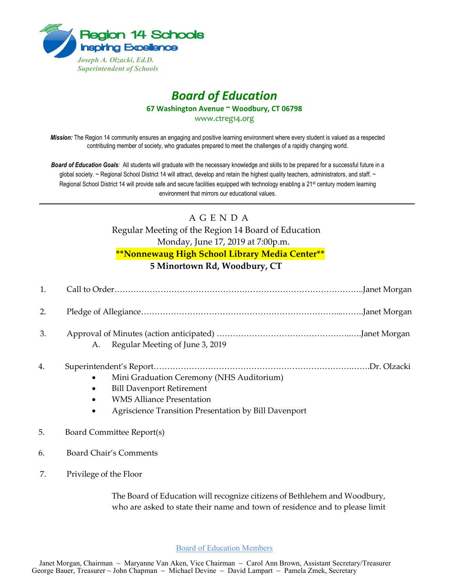

## *Board of Education*

**67 Washington Avenue ~ Woodbury, CT 06798**

www.ctreg14.org

*Mission:* The Region 14 community ensures an engaging and positive learning environment where every student is valued as a respected contributing member of society, who graduates prepared to meet the challenges of a rapidly changing world.

*Board of Education Goals:* All students will graduate with the necessary knowledge and skills to be prepared for a successful future in a global society. ~ Regional School District 14 will attract, develop and retain the highest quality teachers, administrators, and staff. ~ Regional School District 14 will provide safe and secure facilities equipped with technology enabling a 21<sup>st</sup> century modern learning environment that mirrors our educational values.

## A G E N D A

Regular Meeting of the Region 14 Board of Education Monday, June 17, 2019 at 7:00p.m. **\*\*Nonnewaug High School Library Media Center\*\* 5 Minortown Rd, Woodbury, CT**

| 2. |                                                                                                         |  |
|----|---------------------------------------------------------------------------------------------------------|--|
| 3. | A. Regular Meeting of June 3, 2019                                                                      |  |
| 4. | Mini Graduation Ceremony (NHS Auditorium)<br>$\bullet$<br><b>Bill Davenport Retirement</b><br>$\bullet$ |  |

- WMS Alliance Presentation
- Agriscience Transition Presentation by Bill Davenport
- 5. Board Committee Report(s)
- 6. Board Chair's Comments
- 7. Privilege of the Floor

The Board of Education will recognize citizens of Bethlehem and Woodbury, who are asked to state their name and town of residence and to please limit

Board of Education Members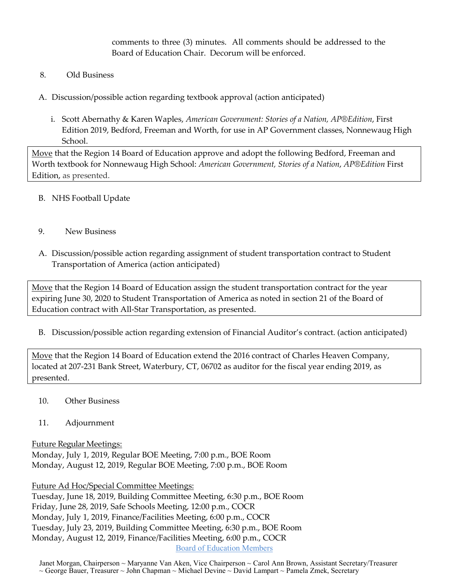comments to three (3) minutes. All comments should be addressed to the Board of Education Chair. Decorum will be enforced.

- 8. Old Business
- A. Discussion/possible action regarding textbook approval (action anticipated)
	- i. Scott Abernathy & Karen Waples, *American Government: Stories of a Nation, AP®Edition*, First Edition 2019, Bedford, Freeman and Worth, for use in AP Government classes, Nonnewaug High School.

Move that the Region 14 Board of Education approve and adopt the following Bedford, Freeman and Worth textbook for Nonnewaug High School: *American Government, Stories of a Nation*, *AP®Edition* First Edition, as presented.

- B. NHS Football Update
- 9. New Business
- A. Discussion/possible action regarding assignment of student transportation contract to Student Transportation of America (action anticipated)

Move that the Region 14 Board of Education assign the student transportation contract for the year expiring June 30, 2020 to Student Transportation of America as noted in section 21 of the Board of Education contract with All-Star Transportation, as presented.

B. Discussion/possible action regarding extension of Financial Auditor's contract. (action anticipated)

Move that the Region 14 Board of Education extend the 2016 contract of Charles Heaven Company, located at 207-231 Bank Street, Waterbury, CT, 06702 as auditor for the fiscal year ending 2019, as presented.

- 10. Other Business
- 11. Adjournment

Future Regular Meetings: Monday, July 1, 2019, Regular BOE Meeting, 7:00 p.m., BOE Room Monday, August 12, 2019, Regular BOE Meeting, 7:00 p.m., BOE Room

Future Ad Hoc/Special Committee Meetings:

Board of Education Members Tuesday, June 18, 2019, Building Committee Meeting, 6:30 p.m., BOE Room Friday, June 28, 2019, Safe Schools Meeting, 12:00 p.m., COCR Monday, July 1, 2019, Finance/Facilities Meeting, 6:00 p.m., COCR Tuesday, July 23, 2019, Building Committee Meeting, 6:30 p.m., BOE Room Monday, August 12, 2019, Finance/Facilities Meeting, 6:00 p.m., COCR